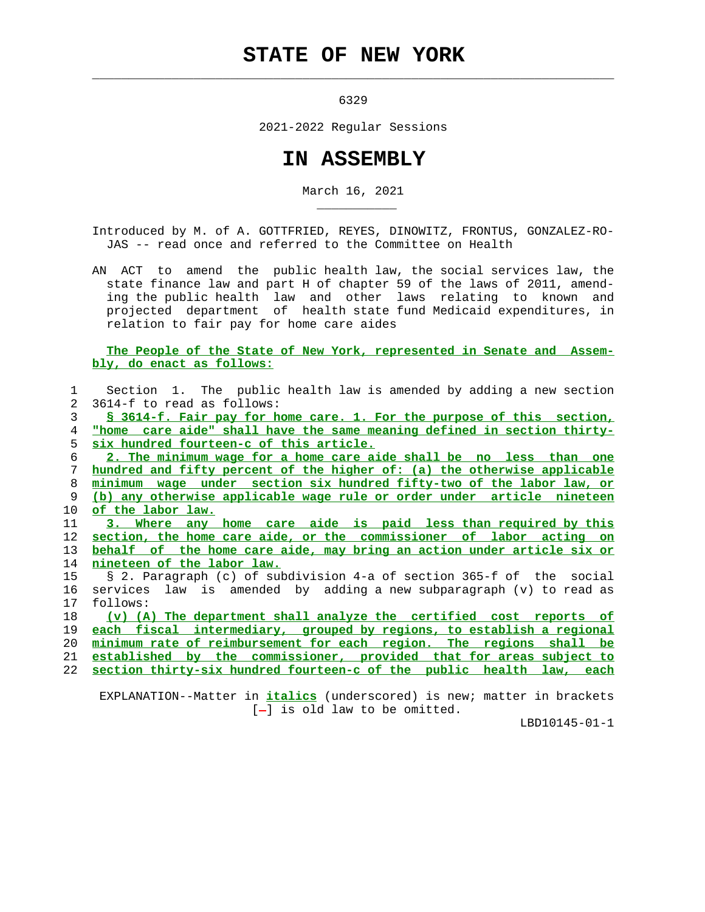## **STATE OF NEW YORK**

 $\mathcal{L}_\text{max} = \frac{1}{2} \sum_{i=1}^{n} \frac{1}{2} \sum_{i=1}^{n} \frac{1}{2} \sum_{i=1}^{n} \frac{1}{2} \sum_{i=1}^{n} \frac{1}{2} \sum_{i=1}^{n} \frac{1}{2} \sum_{i=1}^{n} \frac{1}{2} \sum_{i=1}^{n} \frac{1}{2} \sum_{i=1}^{n} \frac{1}{2} \sum_{i=1}^{n} \frac{1}{2} \sum_{i=1}^{n} \frac{1}{2} \sum_{i=1}^{n} \frac{1}{2} \sum_{i=1}^{n} \frac{1$ 

\_\_\_\_\_\_\_\_\_\_\_

6329

2021-2022 Regular Sessions

## **IN ASSEMBLY**

March 16, 2021

 Introduced by M. of A. GOTTFRIED, REYES, DINOWITZ, FRONTUS, GONZALEZ-RO- JAS -- read once and referred to the Committee on Health

 AN ACT to amend the public health law, the social services law, the state finance law and part H of chapter 59 of the laws of 2011, amend ing the public health law and other laws relating to known and projected department of health state fund Medicaid expenditures, in relation to fair pay for home care aides

 **The People of the State of New York, represented in Senate and Assem bly, do enact as follows:**

| 1              | Section 1. The public health law is amended by adding a new section            |
|----------------|--------------------------------------------------------------------------------|
| $\overline{2}$ | 3614-f to read as follows:                                                     |
| 3              | <u>S 3614-f. Fair pay for home care. 1. For the purpose of this section,</u>   |
| 4              | "home care aide" shall have the same meaning defined in section thirty-        |
| 5              | six hundred fourteen-c of this article.                                        |
| 6              | 2. The minimum wage for a home care aide shall be no less than one             |
| 7              | hundred and fifty percent of the higher of: (a) the otherwise applicable       |
| 8              | minimum wage under section six hundred fifty-two of the labor law, or          |
| 9              | (b) any otherwise applicable wage rule or order under article nineteen         |
| 10             | of the labor law.                                                              |
| 11             | 3. Where any home care aide is paid less than required by this                 |
| 12             | section, the home care aide, or the commissioner of labor acting on            |
| 13             | behalf of the home care aide, may bring an action under article six or         |
| 14             | nineteen of the labor law.                                                     |
| 15             | § 2. Paragraph (c) of subdivision 4-a of section 365-f of the social           |
| 16             | services law is amended by adding a new subparagraph (v) to read as            |
| 17             | follows:                                                                       |
| 18             | (v) (A) The department shall analyze the certified cost reports of             |
| 19             | each fiscal intermediary, grouped by regions, to establish a regional          |
| 20             | minimum rate of reimbursement for each region. The regions shall be            |
| 21             | established by the commissioner, provided that for areas subject to            |
| 22             | section thirty-six hundred fourteen-c of the public health law, each           |
|                |                                                                                |
|                | EXPLANATION--Matter in <i>italics</i> (underscored) is new; matter in brackets |

 $[-]$  is old law to be omitted.

LBD10145-01-1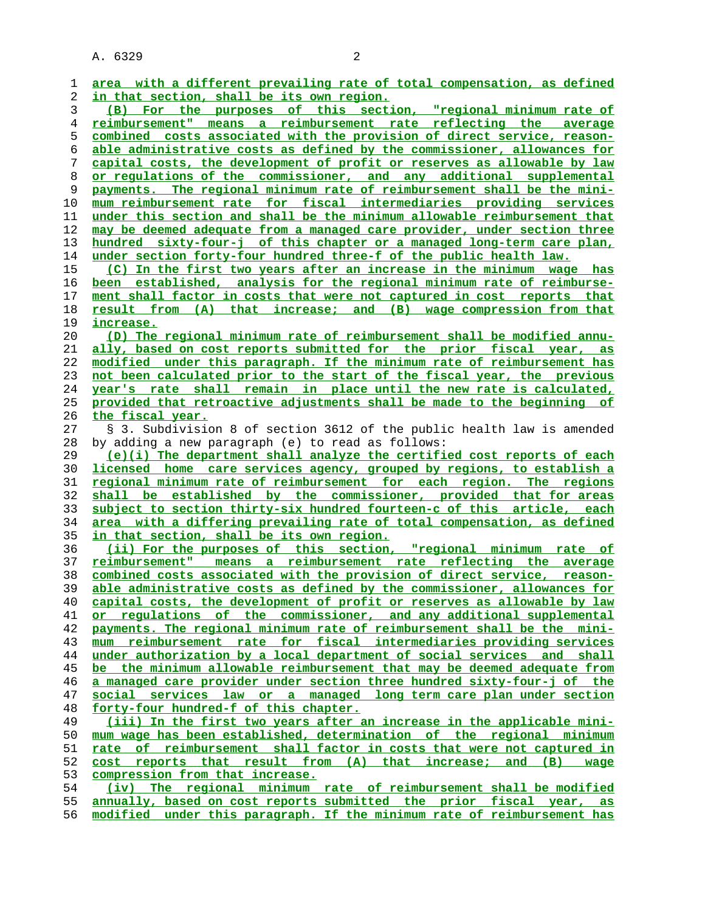| 1              | area with a different prevailing rate of total compensation, as defined      |
|----------------|------------------------------------------------------------------------------|
| 2              | in that section, shall be its own region.                                    |
| 3              | (B) For the purposes of this section, "regional minimum rate of              |
| $\overline{4}$ | reimbursement" means a reimbursement rate reflecting the average             |
| 5              | combined costs associated with the provision of direct service, reason-      |
| 6              | able administrative costs as defined by the commissioner, allowances for     |
| 7              | capital costs, the development of profit or reserves as allowable by law     |
| 8              | or regulations of the commissioner, and any additional supplemental          |
| 9              | payments. The regional minimum rate of reimbursement shall be the mini-      |
| 10             | mum reimbursement rate for fiscal intermediaries providing services          |
| 11             | under this section and shall be the minimum allowable reimbursement that     |
| 12             | may be deemed adequate from a managed care provider, under section three     |
| 13             | hundred sixty-four-j of this chapter or a managed long-term care plan,       |
| 14             | under section forty-four hundred three-f of the public health law.           |
| 15             |                                                                              |
|                | (C) In the first two years after an increase in the minimum wage has         |
| 16             | been established, analysis for the regional minimum rate of reimburse-       |
| 17             | ment shall factor in costs that were not captured in cost reports that       |
| 18             | result from (A) that increase; and (B) wage compression from that            |
| 19             | increase.                                                                    |
| 20             | (D) The regional minimum rate of reimbursement shall be modified annu-       |
| 21             | ally, based on cost reports submitted for the prior fiscal year,<br>as       |
| 22             | modified under this paragraph. If the minimum rate of reimbursement has      |
| 23             | not been calculated prior to the start of the fiscal year, the previous      |
| 24             | year's rate shall remain in place until the new rate is calculated,          |
| 25             | provided that retroactive adjustments shall be made to the beginning of      |
| 26             | the fiscal year.                                                             |
| 27             | § 3. Subdivision 8 of section 3612 of the public health law is amended       |
| 28             | by adding a new paragraph (e) to read as follows:                            |
| 29             | (e)(i) The department shall analyze the certified cost reports of each       |
| 30             | licensed home care services agency, grouped by regions, to establish a       |
| 31             | regional minimum rate of reimbursement for each region. The regions          |
| 32             | shall be established by the commissioner, provided that for areas            |
| 33             | subject to section thirty-six hundred fourteen-c of this article, each       |
| 34             | area with a differing prevailing rate of total compensation, as defined      |
| 35             | <u>in that section, shall be its own region.</u>                             |
| 36             | (ii) For the purposes of this section, "regional minimum rate of             |
| 37             | <u>reimbursement" means a reimbursement rate reflecting the average</u>      |
| 38             | combined costs associated with the provision of direct service, reason-      |
| 39             | able administrative costs as defined by the commissioner, allowances for     |
| 40             | capital costs, the development of profit or reserves as allowable by law     |
| 41             | or regulations of the commissioner, and any additional supplemental          |
| 42             | payments. The regional minimum rate of reimbursement shall be the mini-      |
| 43             | mum reimbursement rate for fiscal intermediaries providing services          |
| 44             | under authorization by a local department of social services and shall       |
| 45             | be the minimum allowable reimbursement that may be deemed adequate from      |
| 46             | a managed care provider under section three hundred sixty-four-j of the      |
| 47             | social services law or a managed long term care plan under section           |
| 48             | forty-four hundred-f of this chapter.                                        |
| 49             | (iii) In the first two years after an increase in the applicable mini-       |
| 50             | mum wage has been established, determination of the regional minimum         |
| 51             | <u>rate of reimbursement shall factor in costs that were not captured in</u> |
| 52             | <u>cost reports that result from (A) that increase; and (B)</u><br>wage      |
| 53             | compression from that increase.                                              |
| 54             | The regional minimum rate of reimbursement shall be modified<br>(iv)         |
| 55             | annually, based on cost reports submitted the prior fiscal year, as          |
| 56             | modified under this paragraph. If the minimum rate of reimbursement has      |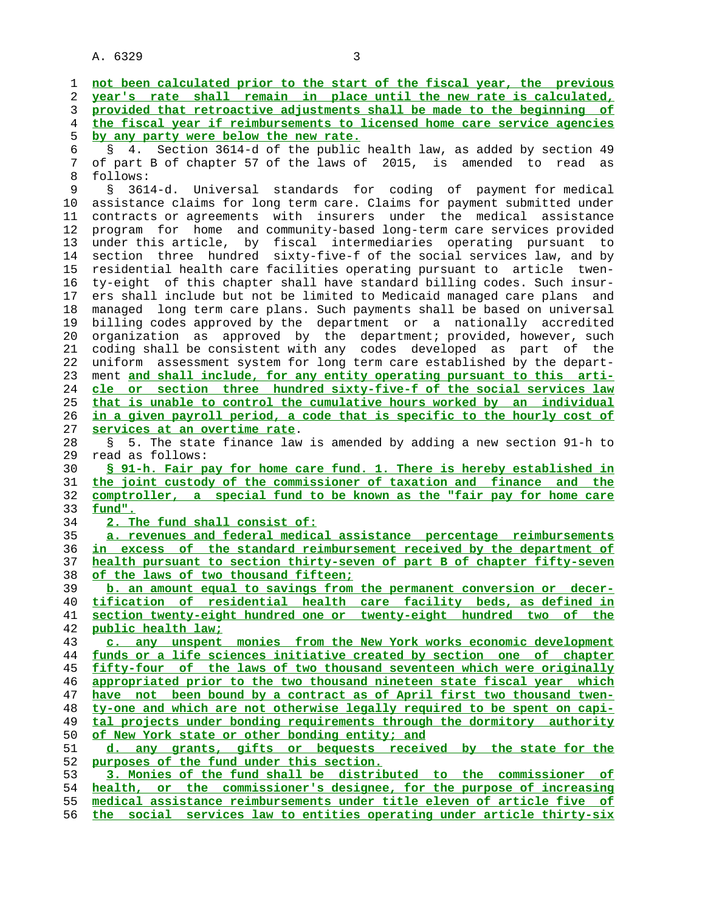**not been calculated prior to the start of the fiscal year, the previous year's rate shall remain in place until the new rate is calculated, provided that retroactive adjustments shall be made to the beginning of the fiscal year if reimbursements to licensed home care service agencies by any party were below the new rate.** 6 § 4. Section 3614-d of the public health law, as added by section 49 7 of part B of chapter 57 of the laws of 2015, is amended to read as 8 follows:<br>9 § 361 § 3614-d. Universal standards for coding of payment for medical 10 assistance claims for long term care. Claims for payment submitted under 11 contracts or agreements with insurers under the medical assistance 12 program for home and community-based long-term care services provided 13 under this article, by fiscal intermediaries operating pursuant to 14 section three hundred sixty-five-f of the social services law, and by 15 residential health care facilities operating pursuant to article twen- 16 ty-eight of this chapter shall have standard billing codes. Such insur- 17 ers shall include but not be limited to Medicaid managed care plans and 18 managed long term care plans. Such payments shall be based on universal 19 billing codes approved by the department or a nationally accredited 20 organization as approved by the department; provided, however, such 21 coding shall be consistent with any codes developed as part of the 22 uniform assessment system for long term care established by the depart- 23 ment **and shall include, for any entity operating pursuant to this arti- cle or section three hundred sixty-five-f of the social services law that is unable to control the cumulative hours worked by an individual in a given payroll period, a code that is specific to the hourly cost of services at an overtime rate**. 28 § 5. The state finance law is amended by adding a new section 91-h to 29 read as follows: **§ 91-h. Fair pay for home care fund. 1. There is hereby established in the joint custody of the commissioner of taxation and finance and the comptroller, a special fund to be known as the "fair pay for home care fund". 2. The fund shall consist of: a. revenues and federal medical assistance percentage reimbursements in excess of the standard reimbursement received by the department of health pursuant to section thirty-seven of part B of chapter fifty-seven of the laws of two thousand fifteen; b. an amount equal to savings from the permanent conversion or decer- tification of residential health care facility beds, as defined in section twenty-eight hundred one or twenty-eight hundred two of the public health law; c. any unspent monies from the New York works economic development funds or a life sciences initiative created by section one of chapter fifty-four of the laws of two thousand seventeen which were originally appropriated prior to the two thousand nineteen state fiscal year which have not been bound by a contract as of April first two thousand twen- ty-one and which are not otherwise legally required to be spent on capi- tal projects under bonding requirements through the dormitory authority of New York state or other bonding entity; and d. any grants, gifts or bequests received by the state for the purposes of the fund under this section. 3. Monies of the fund shall be distributed to the commissioner of health, or the commissioner's designee, for the purpose of increasing medical assistance reimbursements under title eleven of article five of the social services law to entities operating under article thirty-six**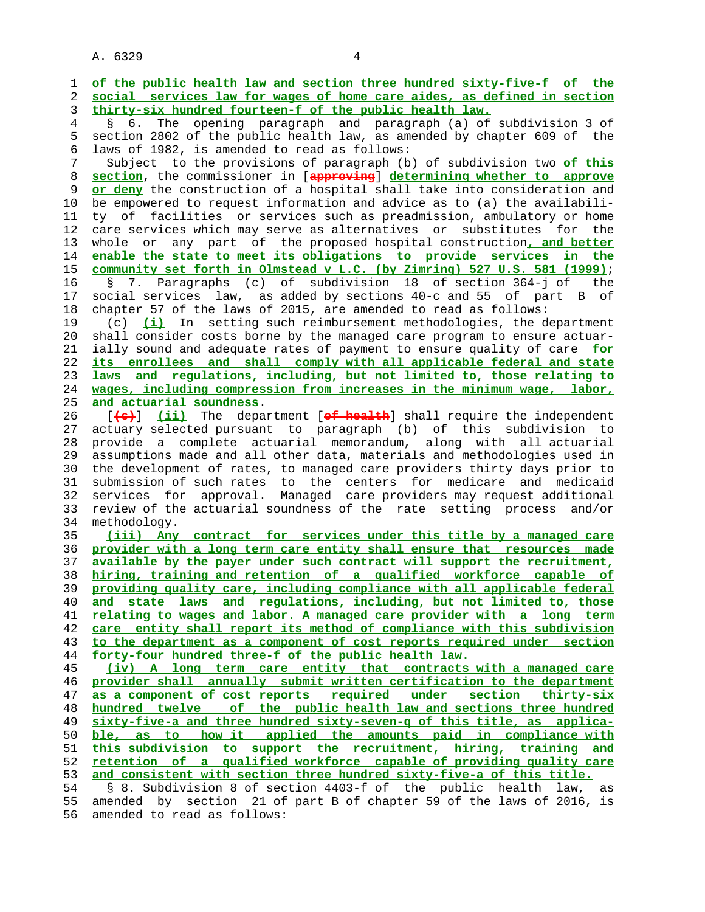1 **of the public health law and section three hundred sixty-five-f of the** 2 **social services law for wages of home care aides, as defined in section** 3 **thirty-six hundred fourteen-f of the public health law.** 4 § 6. The opening paragraph and paragraph (a) of subdivision 3 of 5 section 2802 of the public health law, as amended by chapter 609 of the 6 laws of 1982, is amended to read as follows: 7 Subject to the provisions of paragraph (b) of subdivision two **of this** 8 **section**, the commissioner in [**approving**] **determining whether to approve** or deny the construction of a hospital shall take into consideration and 10 be empowered to request information and advice as to (a) the availabili- 11 ty of facilities or services such as preadmission, ambulatory or home 12 care services which may serve as alternatives or substitutes for the 13 whole or any part of the proposed hospital construction**, and better** 14 **enable the state to meet its obligations to provide services in the** 15 **community set forth in Olmstead v L.C. (by Zimring) 527 U.S. 581 (1999)**; 16 § 7. Paragraphs (c) of subdivision 18 of section 364-j of the 17 social services law, as added by sections 40-c and 55 of part B of 18 chapter 57 of the laws of 2015, are amended to read as follows: 19 (c) **(i)** In setting such reimbursement methodologies, the department 20 shall consider costs borne by the managed care program to ensure actuar- 21 ially sound and adequate rates of payment to ensure quality of care **for** 22 **its enrollees and shall comply with all applicable federal and state** 23 **laws and regulations, including, but not limited to, those relating to** 24 **wages, including compression from increases in the minimum wage, labor,** 25 **and actuarial soundness**. 26 [**(c)**] **(ii)** The department [**of health**] shall require the independent 27 actuary selected pursuant to paragraph (b) of this subdivision to 28 provide a complete actuarial memorandum, along with all actuarial 29 assumptions made and all other data, materials and methodologies used in 30 the development of rates, to managed care providers thirty days prior to 31 submission of such rates to the centers for medicare and medicaid 32 services for approval. Managed care providers may request additional 33 review of the actuarial soundness of the rate setting process and/or 34 methodology. 35 **(iii) Any contract for services under this title by a managed care** 36 **provider with a long term care entity shall ensure that resources made** 37 **available by the payer under such contract will support the recruitment,** 38 **hiring, training and retention of a qualified workforce capable of** 39 **providing quality care, including compliance with all applicable federal** 40 **and state laws and regulations, including, but not limited to, those** 41 **relating to wages and labor. A managed care provider with a long term** 42 **care entity shall report its method of compliance with this subdivision** 43 **to the department as a component of cost reports required under section** 44 **forty-four hundred three-f of the public health law.** 45 **(iv) A long term care entity that contracts with a managed care** 46 **provider shall annually submit written certification to the department** 47 **as a component of cost reports required under section thirty-six** 48 **hundred twelve of the public health law and sections three hundred** 49 **sixty-five-a and three hundred sixty-seven-q of this title, as applica-** 50 **ble, as to how it applied the amounts paid in compliance with** 51 **this subdivision to support the recruitment, hiring, training and** 52 **retention of a qualified workforce capable of providing quality care** 53 **and consistent with section three hundred sixty-five-a of this title.** 54 § 8. Subdivision 8 of section 4403-f of the public health law, as 55 amended by section 21 of part B of chapter 59 of the laws of 2016, is 56 amended to read as follows: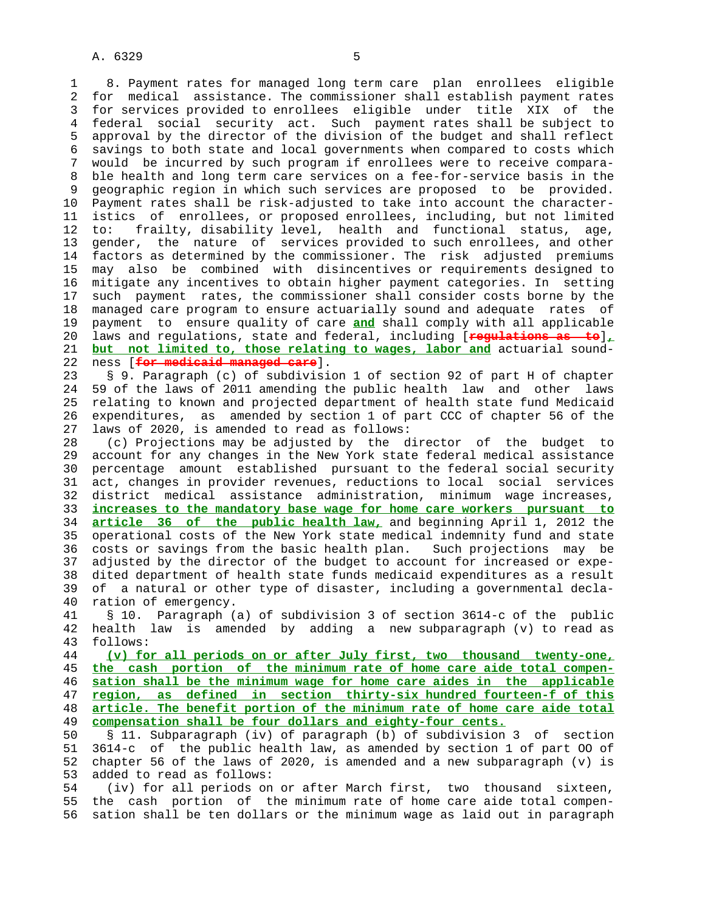1 8. Payment rates for managed long term care plan enrollees eligible 2 for medical assistance. The commissioner shall establish payment rates 3 for services provided to enrollees eligible under title XIX of the 4 federal social security act. Such payment rates shall be subject to 5 approval by the director of the division of the budget and shall reflect 6 savings to both state and local governments when compared to costs which 7 would be incurred by such program if enrollees were to receive compara- 8 ble health and long term care services on a fee-for-service basis in the 9 geographic region in which such services are proposed to be provided. 10 Payment rates shall be risk-adjusted to take into account the character- 11 istics of enrollees, or proposed enrollees, including, but not limited 12 to: frailty, disability level, health and functional status, age, 13 gender, the nature of services provided to such enrollees, and other 14 factors as determined by the commissioner. The risk adjusted premiums 15 may also be combined with disincentives or requirements designed to 16 mitigate any incentives to obtain higher payment categories. In setting 17 such payment rates, the commissioner shall consider costs borne by the 18 managed care program to ensure actuarially sound and adequate rates of 19 payment to ensure quality of care **and** shall comply with all applicable 20 laws and regulations, state and federal, including [**regulations as to**]**,** 21 **but not limited to, those relating to wages, labor and** actuarial sound- 22 ness [**for medicaid managed care**].

 23 § 9. Paragraph (c) of subdivision 1 of section 92 of part H of chapter 24 59 of the laws of 2011 amending the public health law and other laws 25 relating to known and projected department of health state fund Medicaid 26 expenditures, as amended by section 1 of part CCC of chapter 56 of the 27 laws of 2020, is amended to read as follows:

 28 (c) Projections may be adjusted by the director of the budget to 29 account for any changes in the New York state federal medical assistance 30 percentage amount established pursuant to the federal social security 31 act, changes in provider revenues, reductions to local social services 32 district medical assistance administration, minimum wage increases, 33 **increases to the mandatory base wage for home care workers pursuant to** 34 **article 36 of the public health law,** and beginning April 1, 2012 the 35 operational costs of the New York state medical indemnity fund and state 36 costs or savings from the basic health plan. Such projections may be 37 adjusted by the director of the budget to account for increased or expe- 38 dited department of health state funds medicaid expenditures as a result 39 of a natural or other type of disaster, including a governmental decla- 40 ration of emergency.

 41 § 10. Paragraph (a) of subdivision 3 of section 3614-c of the public 42 health law is amended by adding a new subparagraph (v) to read as 43 follows:

**(v) for all periods on or after July first, two thousand twenty-one, the cash portion of the minimum rate of home care aide total compen- sation shall be the minimum wage for home care aides in the applicable region, as defined in section thirty-six hundred fourteen-f of this article. The benefit portion of the minimum rate of home care aide total compensation shall be four dollars and eighty-four cents.**

 50 § 11. Subparagraph (iv) of paragraph (b) of subdivision 3 of section 51 3614-c of the public health law, as amended by section 1 of part OO of 52 chapter 56 of the laws of 2020, is amended and a new subparagraph (v) is 53 added to read as follows:

 54 (iv) for all periods on or after March first, two thousand sixteen, 55 the cash portion of the minimum rate of home care aide total compen- 56 sation shall be ten dollars or the minimum wage as laid out in paragraph